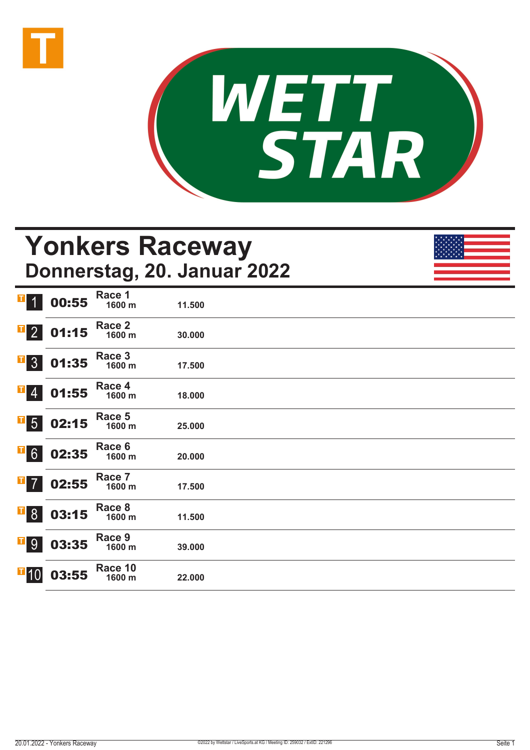



## **Yonkers Raceway Donnerstag, 20. Januar 2022**

| $\mathbf{T}$<br>$\overline{1}$                    | 00:55 | Race 1<br>1600 m  | 11.500 |  |
|---------------------------------------------------|-------|-------------------|--------|--|
| $\mathbf{F}$ 2                                    | 01:15 | Race 2<br>1600 m  | 30.000 |  |
| $\overline{1}$ 3                                  | 01:35 | Race 3<br>1600 m  | 17.500 |  |
| $\mathbf{F}$ 4                                    | 01:55 | Race 4<br>1600 m  | 18.000 |  |
| $\overline{\phantom{0}}$ 5                        | 02:15 | Race 5<br>1600 m  | 25.000 |  |
| $\overline{\phantom{0}}$ 6                        | 02:35 | Race 6<br>1600 m  | 20.000 |  |
| I<br>$\overline{7}$                               | 02:55 | Race 7<br>1600 m  | 17.500 |  |
| $\overline{\phantom{a}}$ $\overline{\phantom{a}}$ | 03:15 | Race 8<br>1600 m  | 11.500 |  |
| <b>T</b> <sup>9</sup>                             | 03:35 | Race 9<br>1600 m  | 39.000 |  |
| $\blacksquare$ 10                                 | 03:55 | Race 10<br>1600 m | 22.000 |  |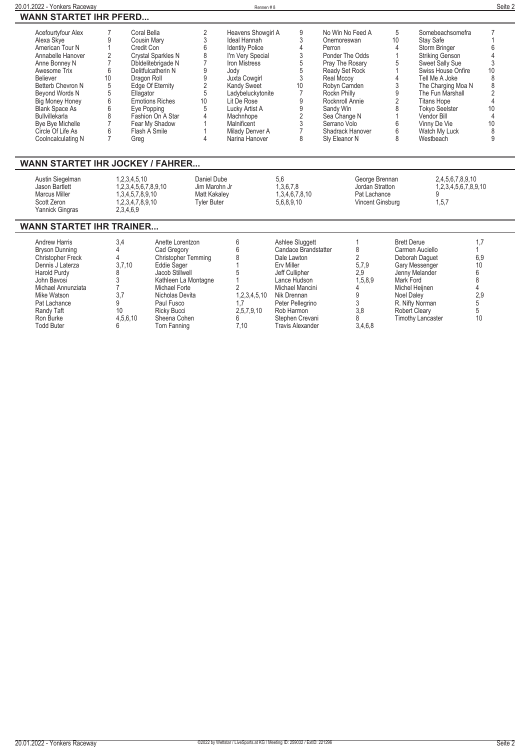| Acefourtyfour Alex               |    | Coral Bella               |                 | Heavens Showgirl A     | 9  | No Win No Feed A | 5  | Somebeachsomefra       |  |
|----------------------------------|----|---------------------------|-----------------|------------------------|----|------------------|----|------------------------|--|
| Alexa Skve                       |    | Cousin Mary               |                 | Ideal Hannah           |    | Onemoreswan      | 10 | Stav Safe              |  |
| American Tour N                  |    | Credit Con                |                 | <b>Identity Police</b> |    | Perron           |    | Storm Bringer          |  |
| Annabelle Hanover                |    | <b>Crystal Sparkles N</b> |                 | I'm Very Special       |    | Ponder The Odds  |    | <b>Striking Genson</b> |  |
| Anne Bonney N                    |    | Dbldelitebrigade N        |                 | Iron Mistress          |    | Pray The Rosary  |    | <b>Sweet Sally Sue</b> |  |
| Awesome Trix                     |    | Delitfulcatherin N        |                 | Jody                   |    | Ready Set Rock   |    | Swiss House Onfire     |  |
| <b>Believer</b>                  | 10 | Dragon Roll               |                 | Juxta Cowgirl          |    | Real Mccov       |    | Tell Me A Joke         |  |
| Betterb Chevron N                |    | Edge Of Eternity          |                 | <b>Kandy Sweet</b>     | 10 | Robvn Camden     |    | The Charging Moa N     |  |
| Beyond Words N                   |    | Ellagator                 | 5               | Ladybeluckytonite      |    | Rockn Philly     |    | The Fun Marshall       |  |
| <b>Big Money Honey</b>           |    | <b>Emotions Riches</b>    | 10 <sup>°</sup> | Lit De Rose            |    | Rocknroll Annie  |    | <b>Titans Hope</b>     |  |
| <b>Blank Space As</b>            |    | Eye Popping               | 5               | Lucky Artist A         |    | Sandy Win        |    | <b>Tokyo Seelster</b>  |  |
| <b>Bullvillekarla</b>            |    | Fashion On A Star         |                 | Machnhope              |    | Sea Change N     |    | Vendor Bill            |  |
| Bye Bye Michelle                 |    | Fear My Shadow            |                 | Malnificent            |    | Serrano Volo     |    | Vinny De Vie           |  |
| Circle Of Life As                |    | Flash A Smile             |                 | Milady Denver A        |    | Shadrack Hanover |    | Watch My Luck          |  |
| Coolncalculating N               |    | Greg                      |                 | Narina Hanover         |    | Sly Eleanor N    | 8  | Westbeach              |  |
|                                  |    |                           |                 |                        |    |                  |    |                        |  |
|                                  |    |                           |                 |                        |    |                  |    |                        |  |
| VANN STARTET IHR JOCKEY / FAHRER |    |                           |                 |                        |    |                  |    |                        |  |
|                                  |    |                           |                 |                        |    |                  |    |                        |  |

## **WANN STARTET IHR JOCKEY / FAHRER...**

| Austin Siegelman<br>Jason Bartlett<br>Marcus Miller<br>Scott Zeron<br>Yannick Gingras | 0.2,3.4,5.10<br>1.2.3.4.5.6.7.8.9.10<br>1.3.4.5.7.8.9.10<br>1,2,3,4,7,8,9,10<br>2,3,4,6,9 | Daniel Dube<br>Jim Marohn Jr<br>Matt Kakalev<br>Tvler Buter | 5.6<br>1.3.6.7.8<br>1,3,4,6,7,8,10<br>5.6.8.9.10 | George Brennan<br>Jordan Stratton<br>Pat Lachance<br>Vincent Ginsburg | 2.4.5.6.7.8.9.10<br>1.2.3.4.5.6.7.8.9.10<br>1,5,7 |
|---------------------------------------------------------------------------------------|-------------------------------------------------------------------------------------------|-------------------------------------------------------------|--------------------------------------------------|-----------------------------------------------------------------------|---------------------------------------------------|
|---------------------------------------------------------------------------------------|-------------------------------------------------------------------------------------------|-------------------------------------------------------------|--------------------------------------------------|-----------------------------------------------------------------------|---------------------------------------------------|

## **WANN STARTET IHR TRAINER...**

| <b>Andrew Harris</b><br>Bryson Dunning<br>Christopher Freck<br>Dennis J Laterza<br><b>Harold Purdy</b><br>John Bavosi<br>Michael Annunziata<br>Mike Watson<br>Pat Lachance<br>Randy Taft | 3.4<br>3.7.10<br>10 | Anette Lorentzon<br>Cad Gregory<br>Christopher Temming<br>Eddie Sager<br>Jacob Stillwell<br>Kathleen La Montagne<br>Michael Forte<br>Nicholas Devita<br>Paul Fusco<br>Ricky Bucci | 1,2,3,4,5,10<br>2,5,7,9,10 | Ashlee Sluggett<br>Candace Brandstatter<br>Dale Lawton<br>Erv Miller<br>Jeff Cullipher<br>Lance Hudson<br>Michael Mancini<br>Nik Drennan<br>Peter Pellegrino<br>Rob Harmon | 5,7,9<br>2,9<br>1,5,8,9<br>3.8 | <b>Brett Derue</b><br>Carmen Auciello<br>Deborah Daquet<br>Gary Messenger<br>Jenny Melander<br>Mark Ford<br>Michel Heijnen<br>Noel Daley<br>R. Nifty Norman<br><b>Robert Cleary</b> | 6,9<br>10<br>2.9 |
|------------------------------------------------------------------------------------------------------------------------------------------------------------------------------------------|---------------------|-----------------------------------------------------------------------------------------------------------------------------------------------------------------------------------|----------------------------|----------------------------------------------------------------------------------------------------------------------------------------------------------------------------|--------------------------------|-------------------------------------------------------------------------------------------------------------------------------------------------------------------------------------|------------------|
| Ron Burke<br><b>Todd Buter</b>                                                                                                                                                           | 4.5.6.10            | Sheena Cohen<br>Tom Fanning                                                                                                                                                       | 7.10                       | Stephen Crevani<br>Travis Alexander                                                                                                                                        | 3,4,6,8                        | <b>Timothy Lancaster</b>                                                                                                                                                            | 10               |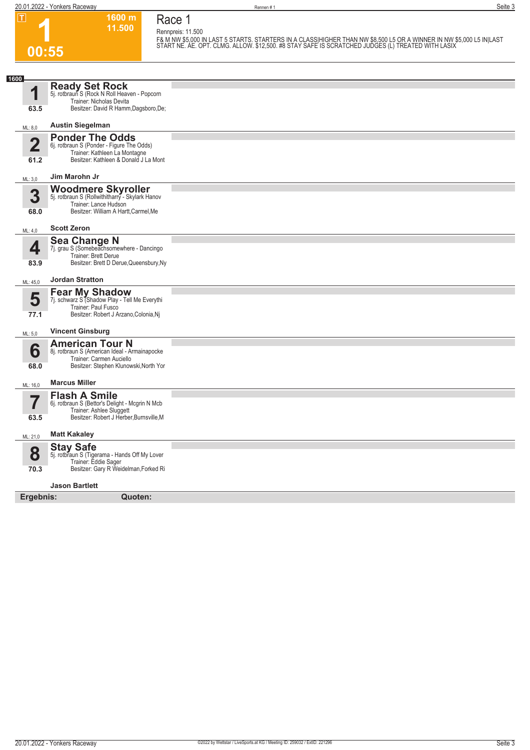**20.01.2022 - Yonkers Raceway** Rennen # 1 **Seite 3**

**1**

**00:55**

**1600 m Race 1**

**11.500 Rennpreis: 11.500**

F& M NW \$5,000 IN LAST 5 STARTS. STARTERS IN A CLASS|HIGHER THAN NW \$8,500 L5 OR A WINNER IN NW \$5,000 L5 IN|LAST<br>START NE. AE. OPT. CLMG. ALLOW. \$12,500. #8 STAY SAFE IS SCRATCHED JUDGES (L) TREATED WITH LASIX

| 1600                    |                                                                                                                                                |  |
|-------------------------|------------------------------------------------------------------------------------------------------------------------------------------------|--|
| 1                       | <b>Ready Set Rock</b><br>5j. rotbraun S (Rock N Roll Heaven - Popcorn<br>Trainer: Nicholas Devita                                              |  |
| 63.5                    | Besitzer: David R Hamm, Dagsboro, De;                                                                                                          |  |
| ML: 8,0                 | <b>Austin Siegelman</b>                                                                                                                        |  |
| $\overline{\mathbf{2}}$ | <b>Ponder The Odds</b><br>6j. rotbraun S (Ponder - Figure The Odds)<br>Trainer: Kathleen La Montagne                                           |  |
| 61.2                    | Besitzer: Kathleen & Donald J La Mont                                                                                                          |  |
| ML: 3,0                 | Jim Marohn Jr                                                                                                                                  |  |
| 3<br>68.0               | <b>Woodmere Skyroller</b><br>5j. rotbraun S (Rollwithitharry - Skylark Hanov<br>Trainer: Lance Hudson<br>Besitzer: William A Hartt, Carmel, Me |  |
|                         |                                                                                                                                                |  |
| ML: 4.0                 | <b>Scott Zeron</b>                                                                                                                             |  |
| 4                       | <b>Sea Change N</b><br>7j. grau S (Somebeachsomewhere - Dancingo<br>Trainer: Brett Derue                                                       |  |
| 83.9                    | Besitzer: Brett D Derue, Queensbury, Ny                                                                                                        |  |
| ML: 45,0                | <b>Jordan Stratton</b>                                                                                                                         |  |
| 5                       | <b>Fear My Shadow</b><br>7j. schwarz S (Shadow Play - Tell Me Everythi<br>Trainer: Paul Fusco                                                  |  |
| 77.1                    | Besitzer: Robert J Arzano, Colonia, Nj                                                                                                         |  |
| ML: 5,0                 | <b>Vincent Ginsburg</b>                                                                                                                        |  |
| 6<br>68.0               | <b>American Tour N</b><br>8j. rotbraun S (American Ideal - Armainapocke<br>Trainer: Carmen Auciello<br>Besitzer: Stephen Klunowski, North Yor  |  |
| ML: 16,0                | <b>Marcus Miller</b>                                                                                                                           |  |
|                         | <b>Flash A Smile</b><br>6j. rotbraun S (Bettor's Delight - Mcgrin N Mcb                                                                        |  |
| 63.5                    | Trainer: Ashlee Sluggett<br>Besitzer: Robert J Herber, Burnsville, M                                                                           |  |
| ML: 21,0                | <b>Matt Kakaley</b>                                                                                                                            |  |
| 8                       | <b>Stay Safe</b><br>5j. rotbraun S (Tigerama - Hands Off My Lover<br>Trainer: Eddie Sager                                                      |  |
| 70.3                    | Besitzer: Gary R Weidelman, Forked Ri                                                                                                          |  |
|                         | <b>Jason Bartlett</b>                                                                                                                          |  |
| Ergebnis:               | Quoten:                                                                                                                                        |  |
|                         |                                                                                                                                                |  |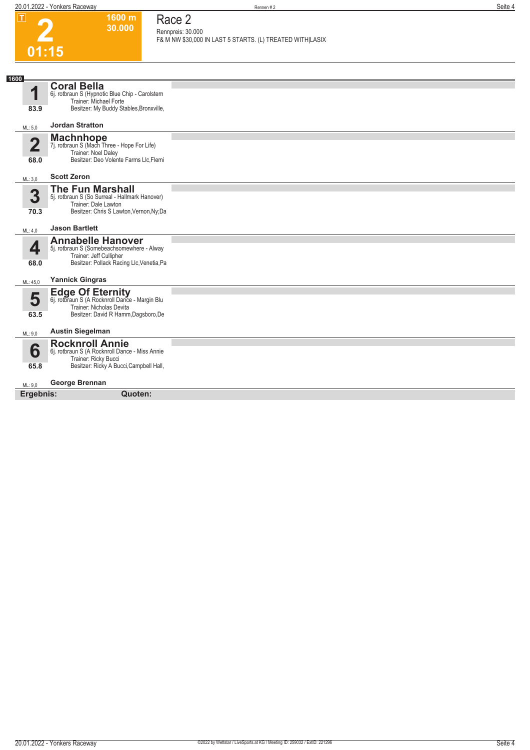**1600 m 30.000**  **Race 2**

**2**

|                | 30,000                                                                    | Rennpreis: 30.000                                         |
|----------------|---------------------------------------------------------------------------|-----------------------------------------------------------|
|                |                                                                           | F& M NW \$30,000 IN LAST 5 STARTS. (L) TREATED WITH LASIX |
| 01:15          |                                                                           |                                                           |
|                |                                                                           |                                                           |
| 1600           | <b>Coral Bella</b>                                                        |                                                           |
| 1              | 6j. rotbraun S (Hypnotic Blue Chip - Carolstern<br>Trainer: Michael Forte |                                                           |
| 83.9           | Besitzer: My Buddy Stables, Bronxville,                                   |                                                           |
| ML: 5,0        | <b>Jordan Stratton</b>                                                    |                                                           |
|                | <b>Machnhope</b>                                                          |                                                           |
| $\overline{2}$ | 7j. rotbraun S (Mach Three - Hope For Life)<br>Trainer: Noel Daley        |                                                           |
| 68.0           | Besitzer: Deo Volente Farms Llc, Flemi                                    |                                                           |
| ML: 3,0        | <b>Scott Zeron</b>                                                        |                                                           |
|                | <b>The Fun Marshall</b>                                                   |                                                           |
| 3              | 5j. rotbraun S (So Surreal - Hallmark Hanover)<br>Trainer: Dale Lawton    |                                                           |
| 70.3           | Besitzer: Chris S Lawton, Vernon, Ny; Da                                  |                                                           |
| ML: 4,0        | <b>Jason Bartlett</b>                                                     |                                                           |
|                | <b>Annabelle Hanover</b>                                                  |                                                           |
| 4              | 5j. rotbraun S (Somebeachsomewhere - Alway<br>Trainer: Jeff Cullipher     |                                                           |
| 68.0           | Besitzer: Pollack Racing Llc, Venetia, Pa                                 |                                                           |
| ML: 45,0       | <b>Yannick Gingras</b>                                                    |                                                           |
| 5              | <b>Edge Of Eternity</b><br>6j. rotbraun S (A Rocknroll Dance - Margin Blu |                                                           |
|                | Trainer: Nicholas Devita                                                  |                                                           |
| 63.5           | Besitzer: David R Hamm, Dagsboro, De                                      |                                                           |
| ML: 9,0        | <b>Austin Siegelman</b>                                                   |                                                           |
|                | <b>Rocknroll Annie</b>                                                    |                                                           |
| 6              | 6j. rotbraun S (A Rocknroll Dance - Miss Annie<br>Trainer: Ricky Bucci    |                                                           |
| 65.8           | Besitzer: Ricky A Bucci, Campbell Hall,                                   |                                                           |
| ML: 9.0        | George Brennan                                                            |                                                           |
| Ergebnis:      | Quoten:                                                                   |                                                           |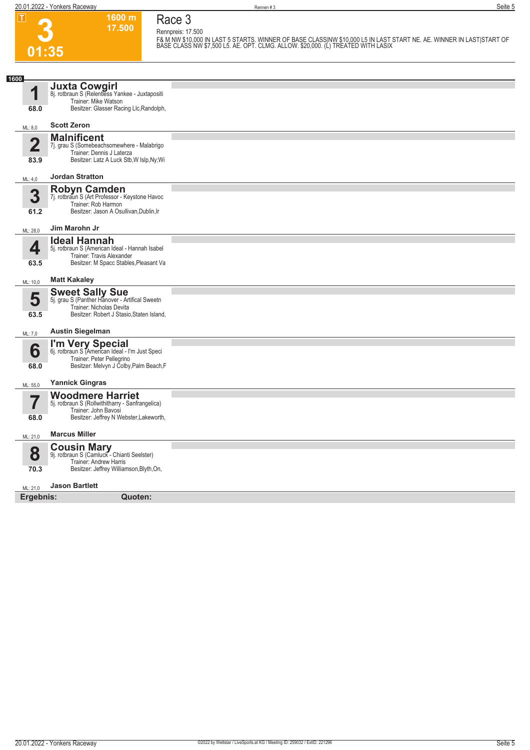**3**

**01:35**

**Race 3 Rennpreis: 17.500**

**1600 m**

**17.500**  F& M NW \$10,000 IN LAST 5 STARTS. WINNER OF BASE CLASSINW \$10,000 L5 IN LAST START NE. AE. WINNER IN LAST|START OF<br>BASE CLASS NW \$7,500 L5. AE. OPT. CLMG. ALLOW. \$20,000. (L) TREATED WITH LASIX

| 1600                    |                                                                                                  |  |
|-------------------------|--------------------------------------------------------------------------------------------------|--|
| 1                       | Juxta Cowgirl<br>8j. rotbraun S (Relentless Yankee - Juxtapositi                                 |  |
| 68.0                    | Trainer: Mike Watson<br>Besitzer: Glasser Racing Llc, Randolph,                                  |  |
| ML: 8,0                 | <b>Scott Zeron</b>                                                                               |  |
|                         | <b>Malnificent</b>                                                                               |  |
| 2                       | 7j. grau S (Somebeachsomewhere - Malabrigo                                                       |  |
| 83.9                    | Trainer: Dennis J Laterza<br>Besitzer: Latz A Luck Stb, W Islp, Ny; Wi                           |  |
| ML: 4,0                 | <b>Jordan Stratton</b>                                                                           |  |
|                         | <b>Robyn Camden</b>                                                                              |  |
| 3                       | 7j. rotbraun S (Art Professor - Keystone Havoc                                                   |  |
| 61.2                    | Trainer: Rob Harmon<br>Besitzer: Jason A Osullivan, Dublin, Ir                                   |  |
| ML: 28,0                | Jim Marohn Jr                                                                                    |  |
|                         | <b>Ideal Hannah</b>                                                                              |  |
| 4                       | 5j. rotbraun S (American Ideal - Hannah Isabel                                                   |  |
| 63.5                    | Trainer: Travis Alexander<br>Besitzer: M Spacc Stables, Pleasant Va                              |  |
| ML: 10,0                | <b>Matt Kakaley</b>                                                                              |  |
|                         | <b>Sweet Sally Sue</b>                                                                           |  |
| 5                       | 5j. grau S (Panther Hanover - Artifical Sweetn                                                   |  |
| 63.5                    | Trainer: Nicholas Devita<br>Besitzer: Robert J Stasio, Staten Island,                            |  |
| ML: 7,0                 | <b>Austin Siegelman</b>                                                                          |  |
|                         |                                                                                                  |  |
| 6                       | I'm Very Special<br>6j. rotbraun S (American Ideal - I'm Just Speci<br>Trainer: Peter Pellegrino |  |
| 68.0                    | Besitzer: Melvyn J Colby, Palm Beach, F                                                          |  |
| ML: 55,0                | <b>Yannick Gingras</b>                                                                           |  |
|                         | <b>Woodmere Harriet</b>                                                                          |  |
| $\overline{\mathbf{Z}}$ | 5j. rotbraun S (Rollwithitharry - Sanfrangelica)                                                 |  |
| 68.0                    | Trainer: John Bavosi<br>Besitzer: Jeffrey N Webster, Lakeworth,                                  |  |
| ML: 21,0                | <b>Marcus Miller</b>                                                                             |  |
|                         | <b>Cousin Mary</b><br>9j. rotbraun S (Camluck - Chianti Seelster)                                |  |
| 8                       | Trainer: Andrew Harris                                                                           |  |
| 70.3                    | Besitzer: Jeffrey Williamson, Blyth, On,                                                         |  |
| ML: 21,0                | <b>Jason Bartlett</b>                                                                            |  |
| Ergebnis:               | Quoten:                                                                                          |  |
|                         |                                                                                                  |  |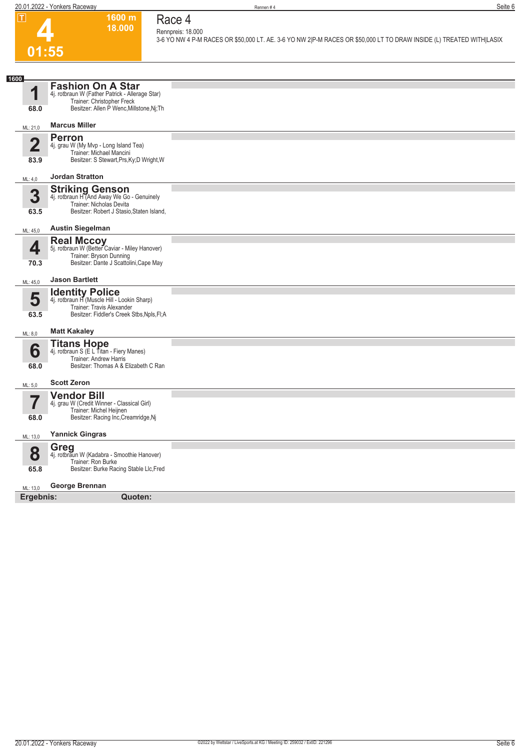**1600 m 18.000**  **Race 4**



## **Rennpreis: 18.000 3-6 YO NW 4 P-M RACES OR \$50,000 LT. AE. 3-6 YO NW 2|P-M RACES OR \$50,000 LT TO DRAW INSIDE (L) TREATED WITH|LASIX**

| 1600                            |                                                                                                                                                   |  |
|---------------------------------|---------------------------------------------------------------------------------------------------------------------------------------------------|--|
| 1                               | <b>Fashion On A Star</b><br>4j. rotbraun W (Father Patrick - Allerage Star)<br>Trainer: Christopher Freck                                         |  |
| 68.0                            | Besitzer: Allen P Wenc, Millstone, Nj; Th                                                                                                         |  |
| ML: 21,0                        | <b>Marcus Miller</b>                                                                                                                              |  |
| $\overline{\mathbf{2}}$<br>83.9 | <b>Perron</b><br>4j. grau W (My Mvp - Long Island Tea)<br>Trainer: Michael Mancini<br>Besitzer: S Stewart, Prs, Ky; D Wright, W                   |  |
| ML: 4,0                         | <b>Jordan Stratton</b>                                                                                                                            |  |
| 3<br>63.5                       | <b>Striking Genson</b><br>4j. rotbraun H (And Away We Go - Genuinely<br>Trainer: Nicholas Devita<br>Besitzer: Robert J Stasio, Staten Island,     |  |
| ML: 45,0                        | <b>Austin Siegelman</b>                                                                                                                           |  |
| 4<br>70.3                       | Real Mccoy<br>5j. rotbraun W (Better Caviar - Miley Hanover)<br>Trainer: Bryson Dunning<br>Besitzer: Dante J Scattolini, Cape May                 |  |
| ML: 45,0                        | <b>Jason Bartlett</b>                                                                                                                             |  |
| 5<br>63.5                       | <b>Identity Police</b><br>4j. rotbraun H (Muscle Hill - Lookin Sharp)<br>Trainer: Travis Alexander<br>Besitzer: Fiddler's Creek Stbs, Npls, Fl; A |  |
| ML: 8,0                         | <b>Matt Kakaley</b>                                                                                                                               |  |
| 6<br>68.0                       | <b>Titans Hope</b><br>4j. rotbraun S (E L Titan - Fiery Manes)<br>Trainer: Andrew Harris<br>Besitzer: Thomas A & Elizabeth C Ran                  |  |
| ML: 5,0                         | <b>Scott Zeron</b>                                                                                                                                |  |
| $\overline{\mathbf{7}}$<br>68.0 | <b>Vendor Bill</b><br>4j. grau W (Credit Winner - Classical Girl)<br>Trainer: Michel Heijnen<br>Besitzer: Racing Inc, Creamridge, Nj              |  |
| ML: 13,0                        | <b>Yannick Gingras</b>                                                                                                                            |  |
| 8<br>65.8                       | Greg<br>4j. rotbraun W (Kadabra - Smoothie Hanover)<br>Trainer: Ron Burke<br>Besitzer: Burke Racing Stable Llc, Fred                              |  |
| ML: 13,0                        | George Brennan                                                                                                                                    |  |
| Ergebnis:                       | Quoten:                                                                                                                                           |  |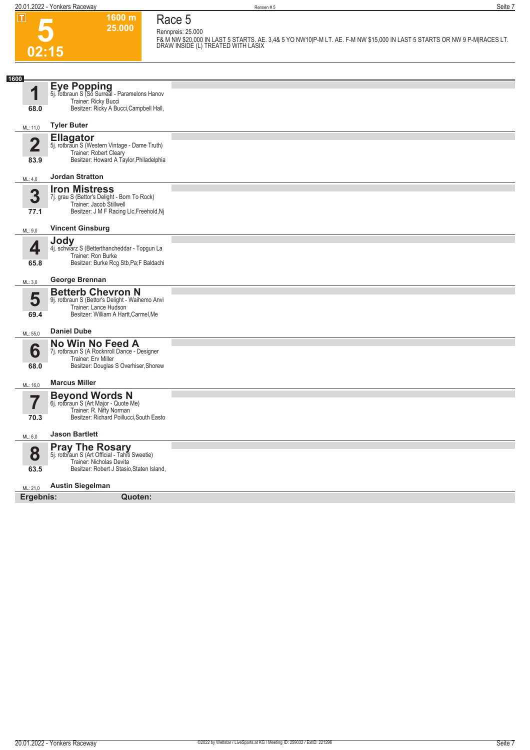**5**

**02:15**

**Race 5 Rennpreis: 25.000**

**1600 m 25.000** 

**F& M NW \$20,000 IN LAST 5 STARTS. AE. 3,4& 5 YO NW10|P-M LT. AE. F-M NW \$15,000 IN LAST 5 STARTS OR NW 9 P-M|RACES LT. DRAW INSIDE (L) TREATED WITH LASIX** 

| 1600       |                                                                                                                                               |  |
|------------|-----------------------------------------------------------------------------------------------------------------------------------------------|--|
| 1          | Eye Popping<br>5j. rotbraun S (So Surreal - Paramelons Hanov                                                                                  |  |
| 68.0       | Trainer: Ricky Bucci<br>Besitzer: Ricky A Bucci, Campbell Hall,                                                                               |  |
|            |                                                                                                                                               |  |
| ML: 11,0   | <b>Tyler Buter</b>                                                                                                                            |  |
| 2          | Ellagator<br>5j. rotbraun S (Western Vintage - Dame Truth)<br>Trainer: Robert Cleary                                                          |  |
| 83.9       | Besitzer: Howard A Taylor, Philadelphia                                                                                                       |  |
| ML: 4,0    | <b>Jordan Stratton</b>                                                                                                                        |  |
| 3          | <b>Iron Mistress</b><br>7j. grau S (Bettor's Delight - Born To Rock)<br>Trainer: Jacob Stillwell                                              |  |
| 77.1       | Besitzer: J M F Racing Llc, Freehold, Nj                                                                                                      |  |
| ML: 9,0    | <b>Vincent Ginsburg</b>                                                                                                                       |  |
| 4          | <b>Jody</b><br>4j. schwarz S (Betterthancheddar - Topgun La<br>Trainer: Ron Burke                                                             |  |
| 65.8       | Besitzer: Burke Rcg Stb, Pa; F Baldachi                                                                                                       |  |
| ML: 3,0    | George Brennan                                                                                                                                |  |
| 5<br>69.4  | <b>Betterb Chevron N</b><br>9j. rotbraun S (Bettor's Delight - Waihemo Anvi<br>Trainer: Lance Hudson<br>Besitzer: William A Hartt, Carmel, Me |  |
| ML: 55,0   | <b>Daniel Dube</b>                                                                                                                            |  |
| 6<br>68.0  | No Win No Feed A<br>7j. rotbraun S (A Rocknroll Dance - Designer<br>Trainer: Erv Miller<br>Besitzer: Douglas S Overhiser, Shorew              |  |
| ML: 16,0   | <b>Marcus Miller</b>                                                                                                                          |  |
| $\sqrt{2}$ | <b>Beyond Words N</b><br>6j. rotbraun S (Art Major - Quote Me)<br>Trainer: R. Nifty Norman                                                    |  |
| 70.3       | Besitzer: Richard Poillucci, South Easto                                                                                                      |  |
| ML: 6,0    | <b>Jason Bartlett</b>                                                                                                                         |  |
| 8          | <b>Pray The Rosary</b><br>5j. rotbraun S (Art Official - Tahiti Sweetie)<br>Trainer: Nicholas Devita                                          |  |
| 63.5       | Besitzer: Robert J Stasio, Staten Island,                                                                                                     |  |
| ML: 21,0   | <b>Austin Siegelman</b>                                                                                                                       |  |
| Ergebnis:  | Quoten:                                                                                                                                       |  |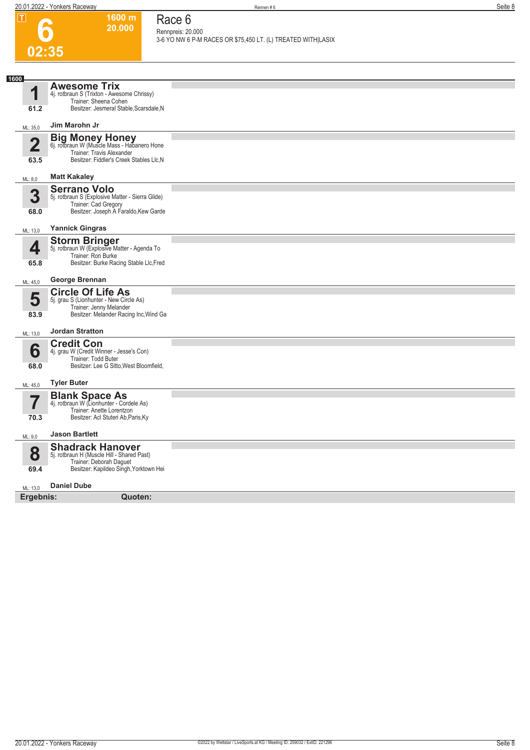**1600 m 20.000**  **Race 6 Rennpreis: 20.000**

**6**

|                         |                                                                          | 3-6 YO NW 6 P-M RACES OR \$75,450 LT. (L) TREATED WITH LASIX |
|-------------------------|--------------------------------------------------------------------------|--------------------------------------------------------------|
| 02:35                   |                                                                          |                                                              |
|                         |                                                                          |                                                              |
| 1600                    | <b>Awesome Trix</b>                                                      |                                                              |
| 1                       | 4j. rotbraun S (Trixton - Awesome Chrissy)<br>Trainer: Sheena Cohen      |                                                              |
| 61.2                    | Besitzer: Jesmeral Stable, Scarsdale, N                                  |                                                              |
| ML: 35,0                | Jim Marohn Jr                                                            |                                                              |
|                         | Big Money Honey<br>6j. rotbraun W (Muscle Mass - Habanero Hone           |                                                              |
| $\overline{\mathbf{2}}$ | Trainer: Travis Alexander                                                |                                                              |
| 63.5                    | Besitzer: Fiddler's Creek Stables Llc, N                                 |                                                              |
| ML: 8,0                 | <b>Matt Kakaley</b>                                                      |                                                              |
| 3                       | <b>Serrano Volo</b>                                                      |                                                              |
|                         | 5j. rotbraun S (Explosive Matter - Sierra Glide)<br>Trainer: Cad Gregory |                                                              |
| 68.0                    | Besitzer: Joseph A Faraldo, Kew Garde                                    |                                                              |
| ML: 13,0                | <b>Yannick Gingras</b>                                                   |                                                              |
| 4                       | <b>Storm Bringer</b><br>5j. rotbraun W (Explosive Matter - Agenda To     |                                                              |
|                         | Trainer: Ron Burke                                                       |                                                              |
| 65.8                    | Besitzer: Burke Racing Stable Llc, Fred                                  |                                                              |
| ML: 45,0                | George Brennan                                                           |                                                              |
| 5                       | <b>Circle Of Life As</b><br>5j. grau S (Lionhunter - New Circle As)      |                                                              |
|                         | Trainer: Jenny Melander                                                  |                                                              |
| 83.9                    | Besitzer: Melander Racing Inc, Wind Ga                                   |                                                              |
| ML: 13,0                | <b>Jordan Stratton</b>                                                   |                                                              |
| 6                       | <b>Credit Con</b><br>4j. grau W (Credit Winner - Jesse's Con)            |                                                              |
|                         | Trainer: Todd Buter                                                      |                                                              |
| 68.0                    | Besitzer: Lee G Sitto, West Bloomfield,                                  |                                                              |
| ML: 45,0                | <b>Tyler Buter</b>                                                       |                                                              |
|                         | <b>Blank Space As</b><br>4j. rotbraun W (Lionhunter - Cordele As)        |                                                              |
|                         | Trainer: Anette Lorentzon                                                |                                                              |
| 70.3                    | Besitzer: Acl Stuteri Ab, Paris, Ky                                      |                                                              |
| ML: 9.0                 | <b>Jason Bartlett</b>                                                    |                                                              |
|                         | <b>Shadrack Hanover</b>                                                  |                                                              |
| 8                       | 5j. rotbraun H (Muscle Hill - Shared Past)<br>Trainer: Deborah Daguet    |                                                              |
| 69.4                    | Besitzer: Kapildeo Singh, Yorktown Hei                                   |                                                              |
| ML: 13,0                | <b>Daniel Dube</b>                                                       |                                                              |
| Ergebnis:               | Quoten:                                                                  |                                                              |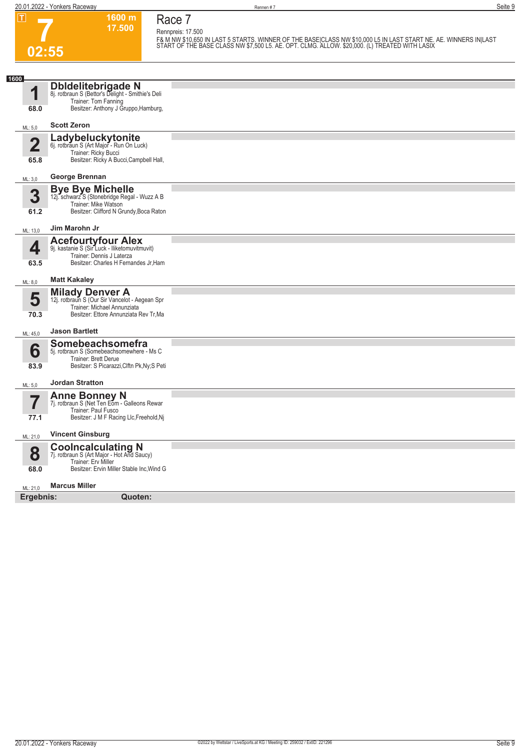**20.01.2022 - Yonkers Raceway** Rennen # 7 **Seite 9**

**7**

**02:55**

**1600 m Race 7**

**17.500** 

**Rennpreis: 17.500 F& M NW \$10,650 IN LAST 5 STARTS. WINNER OF THE BASE|CLASS NW \$10,000 L5 IN LAST START NE. AE. WINNERS IN|LAST START OF THE BASE CLASS NW \$7,500 L5. AE. OPT. CLMG. ALLOW. \$20,000. (L) TREATED WITH LASIX** 

| 1600                   |                                                                                                                                      |  |
|------------------------|--------------------------------------------------------------------------------------------------------------------------------------|--|
| 1                      | <b>Dbldelitebrigade N</b><br>8j. rotbraun S (Bettor's Delight - Smithie's Deli<br>Trainer: Tom Fanning                               |  |
| 68.0                   | Besitzer: Anthony J Gruppo, Hamburg,                                                                                                 |  |
| ML: 5,0                | <b>Scott Zeron</b>                                                                                                                   |  |
| $\overline{2}$<br>65.8 | Ladybeluckytonite<br>6j. rotbraun S (Art Major - Run On Luck)<br>Trainer: Ricky Bucci<br>Besitzer: Ricky A Bucci, Campbell Hall,     |  |
|                        | George Brennan                                                                                                                       |  |
| ML: 3,0                |                                                                                                                                      |  |
| 3                      | <b>Bye Bye Michelle</b><br>12j. schwarz S (Stonebridge Regal - Wuzz A B                                                              |  |
| 61.2                   | Trainer: Mike Watson<br>Besitzer: Clifford N Grundy, Boca Raton                                                                      |  |
| ML: 13,0               | Jim Marohn Jr                                                                                                                        |  |
| 4                      | <b>Acefourtyfour Alex</b><br>9j. kastanie S (Sir Luck - Iliketomuvitmuvit)                                                           |  |
| 63.5                   | Trainer: Dennis J Laterza<br>Besitzer: Charles H Fernandes Jr, Ham                                                                   |  |
|                        |                                                                                                                                      |  |
| ML: 8,0                | <b>Matt Kakaley</b>                                                                                                                  |  |
| 5                      | <b>Milady Denver A</b><br>12j. rotbraun S (Our Sir Vancelot - Aegean Spr<br>Trainer: Michael Annunziata                              |  |
| 70.3                   | Besitzer: Ettore Annunziata Rev Tr, Ma                                                                                               |  |
| ML: 45,0               | <b>Jason Bartlett</b>                                                                                                                |  |
| 6<br>83.9              | Somebeachsomefra<br>5j. rotbraun S (Somebeachsomewhere - Ms C<br>Trainer: Brett Derue<br>Besitzer: S Picarazzi, Clftn Pk, Ny; S Peti |  |
| ML: 5,0                | <b>Jordan Stratton</b>                                                                                                               |  |
|                        | <b>Anne Bonney N</b><br>7j. rotbraun S (Net Ten Eom - Galleons Rewar                                                                 |  |
| $\prime$<br>77.1       | Trainer: Paul Fusco<br>Besitzer: J M F Racing Llc, Freehold, Nj                                                                      |  |
|                        |                                                                                                                                      |  |
| ML: 21,0               | <b>Vincent Ginsburg</b>                                                                                                              |  |
| 8                      | <b>Coolncalculating N</b><br>7j. rotbraun S (Art Major - Hot And Saucy)<br>Trainer: Erv Miller                                       |  |
| 68.0                   | Besitzer: Ervin Miller Stable Inc, Wind G                                                                                            |  |
| ML: 21,0               | <b>Marcus Miller</b>                                                                                                                 |  |
| Ergebnis:              | Quoten:                                                                                                                              |  |
|                        |                                                                                                                                      |  |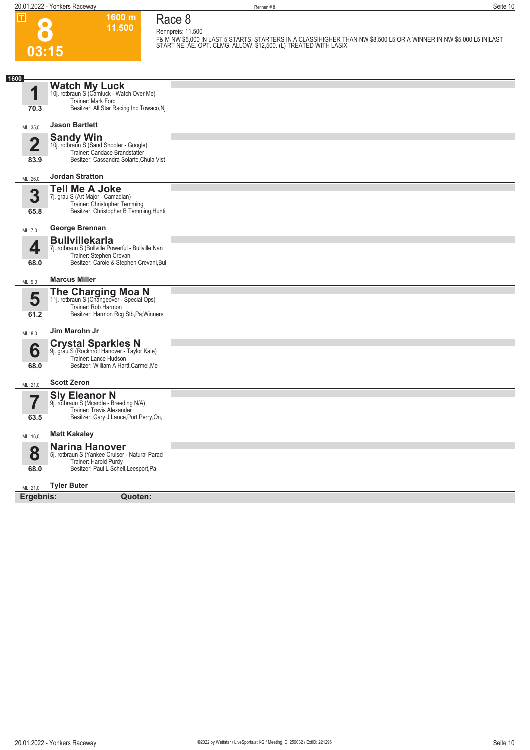**8**

 $\overline{\phantom{0}}$ 

 $\overline{\phantom{0}}$ 

**Race 8**

**Rennpreis: 11.500**

**1600 m 11.500** 

|                                 |                                                                                                                                                                   | F& M NW \$5,000 IN LAST 5 STARTS. STARTERS IN A CLASS HIGHER THAN NW \$8,500 L5 OR A WINNER IN NW \$5,000 L5 IN LAST<br>START NE. AE. OPT. CLMG. ALLOW. \$12,500. (L) TREATED WITH LASIX |
|---------------------------------|-------------------------------------------------------------------------------------------------------------------------------------------------------------------|------------------------------------------------------------------------------------------------------------------------------------------------------------------------------------------|
| 03:15                           |                                                                                                                                                                   |                                                                                                                                                                                          |
|                                 |                                                                                                                                                                   |                                                                                                                                                                                          |
| 1600<br>1<br>70.3               | <b>Watch My Luck</b><br>10j. rotbraun S (Camluck - Watch Over Me)<br>Trainer: Mark Ford<br>Besitzer: All Star Racing Inc, Towaco, Nj                              |                                                                                                                                                                                          |
| ML: 35,0                        | <b>Jason Bartlett</b>                                                                                                                                             |                                                                                                                                                                                          |
| $\overline{\mathbf{2}}$<br>83.9 | <b>Sandy Win</b><br>10j. rotbraun S (Sand Shooter - Google)<br>Trainer: Candace Brandstatter<br>Besitzer: Cassandra Solarte, Chula Vist                           |                                                                                                                                                                                          |
| ML: 26,0                        | <b>Jordan Stratton</b>                                                                                                                                            |                                                                                                                                                                                          |
| 3<br>65.8                       | <b>Tell Me A Joke</b><br>7j. grau S (Art Major - Camadian)<br>Trainer: Christopher Temming<br>Besitzer: Christopher B Temming, Hunti                              |                                                                                                                                                                                          |
| ML: 7,0                         | George Brennan                                                                                                                                                    |                                                                                                                                                                                          |
| 4<br>68.0                       | <b>Bullvillekarla</b><br>7j. rotbraun S (Bullville Powerful - Bullville Nan<br>Trainer: Stephen Crevani<br>Besitzer: Carole & Stephen Crevani, Bul                |                                                                                                                                                                                          |
| ML: 9,0                         | <b>Marcus Miller</b>                                                                                                                                              |                                                                                                                                                                                          |
| 5<br>61.2                       | <b>The Charging Moa N</b><br>11j. rotbraun S (Changeover - Special Ops)<br>Trainer: Rob Harmon<br>Besitzer: Harmon Rcg Stb, Pa; Winners                           |                                                                                                                                                                                          |
| ML: 8,0                         | Jim Marohn Jr                                                                                                                                                     |                                                                                                                                                                                          |
| 6<br>68.0<br>ML: 21,0           | <b>Crystal Sparkles N</b><br>9j. grau S (Rocknroll Hanover - Taylor Kate)<br>Trainer: Lance Hudson<br>Besitzer: William A Hartt, Carmel, Me<br><b>Scott Zeron</b> |                                                                                                                                                                                          |
| 63.5                            | Sly Eleanor N<br>9j. rotbraun S (Mcardle - Breeding N/A)<br>Trainer: Travis Alexander<br>Besitzer: Gary J Lance, Port Perry, On,                                  |                                                                                                                                                                                          |
| ML: 16,0                        | <b>Matt Kakaley</b>                                                                                                                                               |                                                                                                                                                                                          |
| 8<br>68.0                       | <b>Narina Hanover</b><br>5j. rotbraun S (Yankee Cruiser - Natural Parad<br>Trainer: Harold Purdy<br>Besitzer: Paul L Schell, Leesport, Pa                         |                                                                                                                                                                                          |
| ML: 21,0                        | <b>Tyler Buter</b>                                                                                                                                                |                                                                                                                                                                                          |

**Ergebnis: Quoten:**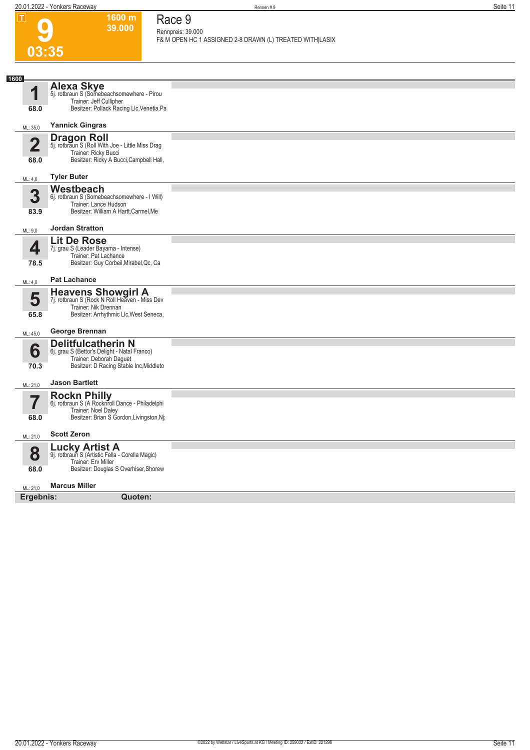**1600 m 39.000**  **Race 9 Rennpreis: 39.000**

| ய              | 1000111<br>39.000                                                                                       | Race 9<br>Rennpreis: 39.000                              |
|----------------|---------------------------------------------------------------------------------------------------------|----------------------------------------------------------|
|                |                                                                                                         | F& M OPEN HC 1 ASSIGNED 2-8 DRAWN (L) TREATED WITH LASIX |
| 03:35          |                                                                                                         |                                                          |
|                |                                                                                                         |                                                          |
| 1600           | <b>Alexa Skye</b>                                                                                       |                                                          |
| 1              | 5j. rotbraun S (Somebeachsomewhere - Pirou<br>Trainer: Jeff Cullipher                                   |                                                          |
| 68.0           | Besitzer: Pollack Racing Llc, Venetia, Pa                                                               |                                                          |
| ML: 35,0       | <b>Yannick Gingras</b>                                                                                  |                                                          |
| $\overline{2}$ | <b>Dragon Roll</b><br>5j. rotbraun S (Roll With Joe - Little Miss Drag                                  |                                                          |
| 68.0           | Trainer: Ricky Bucci<br>Besitzer: Ricky A Bucci, Campbell Hall,                                         |                                                          |
|                |                                                                                                         |                                                          |
| ML: 4,0        | <b>Tyler Buter</b>                                                                                      |                                                          |
| 3              | Westbeach<br>6j. rotbraun S (Somebeachsomewhere - I Will)                                               |                                                          |
| 83.9           | Trainer: Lance Hudson<br>Besitzer: William A Hartt, Carmel, Me                                          |                                                          |
| ML: 9,0        | <b>Jordan Stratton</b>                                                                                  |                                                          |
|                | <b>Lit De Rose</b>                                                                                      |                                                          |
| 4<br>78.5      | 7j. grau S (Leader Bayama - Intense)<br>Trainer: Pat Lachance<br>Besitzer: Guy Corbeil, Mirabel, Qc, Ca |                                                          |
| ML: 4,0        | <b>Pat Lachance</b>                                                                                     |                                                          |
| 5              | <b>Heavens Showgirl A</b><br>7j. rotbraun S (Rock N Roll Heaven - Miss Dev                              |                                                          |
| 65.8           | Trainer: Nik Drennan<br>Besitzer: Arrhythmic Llc, West Seneca,                                          |                                                          |
|                |                                                                                                         |                                                          |
| ML: 45,0       | George Brennan                                                                                          |                                                          |
| 6              | <b>Delitfulcatherin N</b><br>6j. grau S (Bettor's Delight - Natal Franco)                               |                                                          |
| 70.3           | Trainer: Deborah Daguet<br>Besitzer: D Racing Stable Inc, Middleto                                      |                                                          |
| ML: 21,0       | <b>Jason Bartlett</b>                                                                                   |                                                          |
|                | <b>Rockn Philly</b><br>6j. rotbraun S (A Rocknroll Dance - Philadelphi                                  |                                                          |
|                | Trainer: Noel Daley                                                                                     |                                                          |
| 68.0           | Besitzer: Brian S Gordon, Livingston, Nj;                                                               |                                                          |
| ML: 21,0       | <b>Scott Zeron</b>                                                                                      |                                                          |
| 8              | <b>Lucky Artist A</b><br>9j. rotbraun S (Artistic Fella - Corella Magic)                                |                                                          |
| 68.0           | Trainer: Erv Miller<br>Besitzer: Douglas S Overhiser, Shorew                                            |                                                          |
| ML: 21,0       | <b>Marcus Miller</b>                                                                                    |                                                          |
| Ergebnis:      | Quoten:                                                                                                 |                                                          |
|                |                                                                                                         |                                                          |